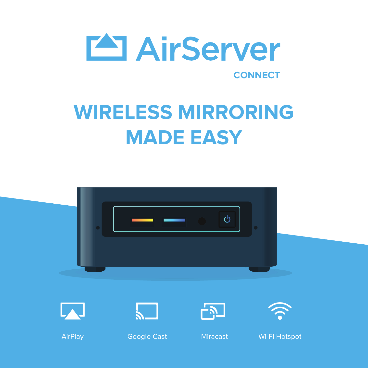

# **WIRELESS MIRRORING MADE EASY**

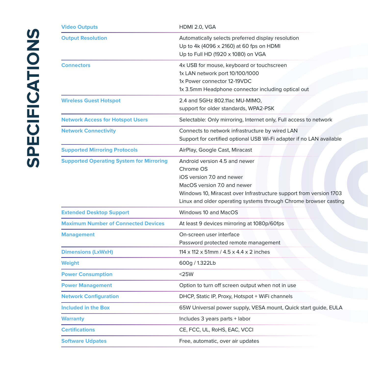| <b>Video Outputs</b>                            | HDMI 2.0, VGA                                                                                                                                                                                                                                    |
|-------------------------------------------------|--------------------------------------------------------------------------------------------------------------------------------------------------------------------------------------------------------------------------------------------------|
| <b>Output Resolution</b>                        | Automatically selects preferred display resolution<br>Up to 4k (4096 x 2160) at 60 fps on HDMI<br>Up to Full HD (1920 x 1080) on VGA                                                                                                             |
| <b>Connectors</b>                               | 4x USB for mouse, keyboard or touchscreen<br>1x LAN network port 10/100/1000<br>1x Power connector 12-19VDC<br>1x 3.5mm Headphone connector including optical out                                                                                |
| <b>Wireless Guest Hotspot</b>                   | 2.4 and 5GHz 802.11ac MU-MIMO,<br>support for older standards, WPA2-PSK                                                                                                                                                                          |
| <b>Network Access for Hotspot Users</b>         | Selectable: Only mirroring, Internet only, Full access to network                                                                                                                                                                                |
| <b>Network Connectivity</b>                     | Connects to network infrastructure by wired LAN<br>Support for certified optional USB Wi-Fi adapter if no LAN available                                                                                                                          |
| <b>Supported Mirroring Protocols</b>            | AirPlay, Google Cast, Miracast                                                                                                                                                                                                                   |
| <b>Supported Operating System for Mirroring</b> | Android version 4.5 and newer<br>Chrome OS<br>iOS version 7.0 and newer<br>MacOS version 7.0 and newer<br>Windows 10, Miracast over Infrastructure support from version 1703<br>Linux and older operating systems through Chrome browser casting |
| <b>Extended Desktop Support</b>                 | Windows 10 and MacOS                                                                                                                                                                                                                             |
| <b>Maximum Number of Connected Devices</b>      | At least 9 devices mirroring at 1080p/60fps                                                                                                                                                                                                      |
| <b>Management</b>                               | On-screen user interface<br>Password protected remote management                                                                                                                                                                                 |
| <b>Dimensions (LxWxH)</b>                       | 114 x 112 x 51mm / 4.5 x 4.4 x 2 inches                                                                                                                                                                                                          |
| Weight                                          | 600g / 1.322Lb                                                                                                                                                                                                                                   |
| <b>Power Consumption</b>                        | $<$ 25W                                                                                                                                                                                                                                          |
| <b>Power Management</b>                         | Option to turn off screen output when not in use                                                                                                                                                                                                 |
| <b>Network Configuration</b>                    | DHCP, Static IP, Proxy, Hotspot + WiFi channels                                                                                                                                                                                                  |
| Included in the Box                             | 65W Universal power supply, VESA mount, Quick start guide, EULA                                                                                                                                                                                  |
| <b>Warranty</b>                                 | Includes 3 years parts + labor                                                                                                                                                                                                                   |
| <b>Certifications</b>                           | CE, FCC, UL, RoHS, EAC, VCCI                                                                                                                                                                                                                     |
| <b>Software Udpates</b>                         | Free, automatic, over air updates                                                                                                                                                                                                                |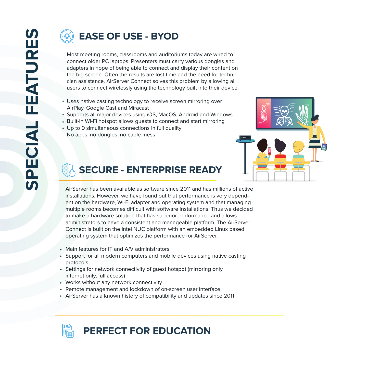### **EASE OF USE - BYOD**

Most meeting rooms, classrooms and auditoriums today are wired to connect older PC laptops. Presenters must carry various dongles and adapters in hope of being able to connect and display their content on the big screen. Often the results are lost time and the need for technician assistance. AirServer Connect solves this problem by allowing all users to connect wirelessly using the technology built into their device.

- Uses native casting technology to receive screen mirroring over AirPlay, Google Cast and Miracast
- Supports all major devices using iOS, MacOS, Android and Windows
- Built-in Wi-Fi hotspot allows guests to connect and start mirroring
- Up to 9 simultaneous connections in full quality No apps, no dongles, no cable mess



#### **SECURE - ENTERPRISE READY**

AirServer has been available as software since 2011 and has millions of active installations. However, we have found out that performance is very dependent on the hardware, Wi-Fi adapter and operating system and that managing multiple rooms becomes difficult with software installations. Thus we decided to make a hardware solution that has superior performance and allows administrators to have a consistent and manageable platform. The AirServer Connect is built on the Intel NUC platform with an embedded Linux based operating system that optimizes the performance for AirServer.

- Main features for IT and A/V administrators
- Support for all modern computers and mobile devices using native casting protocols
- Settings for network connectivity of guest hotspot (mirroring only, internet only, full access)
- Works without any network connectivity
- Remote management and lockdown of on-screen user interface
- AirServer has a known history of compatibility and updates since 2011

## **PERFECT FOR EDUCATION**